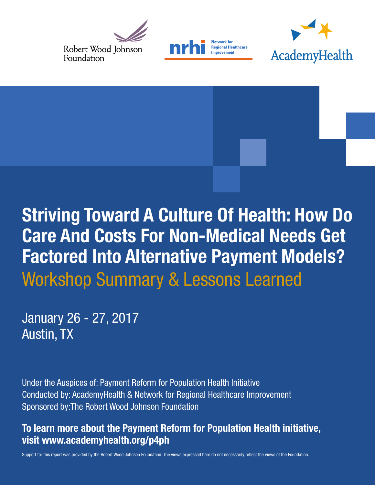





# **Striving Toward A Culture Of Health: How Do Care And Costs For Non-Medical Needs Get Factored Into Alternative Payment Models?** Workshop Summary & Lessons Learned

January 26 - 27, 2017 Austin, TX

Under the Auspices of: Payment Reform for Population Health Initiative Conducted by: AcademyHealth & Network for Regional Healthcare Improvement Sponsored by:The Robert Wood Johnson Foundation

## To learn more about the Payment Reform for Population Health initiative, visit www.academyhealth.org/p4ph

Support for this report was provided by the Robert Wood Johnson Foundation. The views expressed here do not necessarily reflect the views of the Foundation.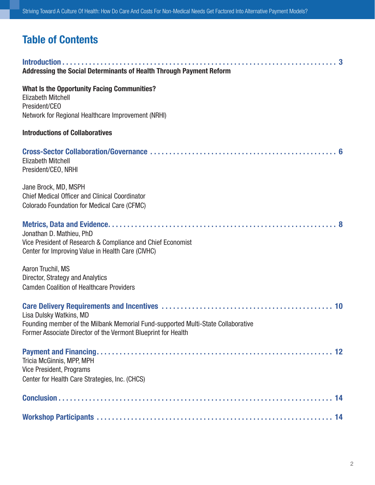## Table of Contents

| Addressing the Social Determinants of Health Through Payment Reform                                                                                                          |
|------------------------------------------------------------------------------------------------------------------------------------------------------------------------------|
| <b>What Is the Opportunity Facing Communities?</b><br><b>Elizabeth Mitchell</b><br>President/CEO<br>Network for Regional Healthcare Improvement (NRHI)                       |
| <b>Introductions of Collaboratives</b>                                                                                                                                       |
| <b>Elizabeth Mitchell</b><br>President/CEO, NRHI                                                                                                                             |
| Jane Brock, MD, MSPH<br><b>Chief Medical Officer and Clinical Coordinator</b><br>Colorado Foundation for Medical Care (CFMC)                                                 |
| Jonathan D. Mathieu, PhD<br>Vice President of Research & Compliance and Chief Economist<br>Center for Improving Value in Health Care (CIVHC)                                 |
| Aaron Truchil, MS<br>Director, Strategy and Analytics<br><b>Camden Coalition of Healthcare Providers</b>                                                                     |
| Lisa Dulsky Watkins, MD<br>Founding member of the Milbank Memorial Fund-supported Multi-State Collaborative<br>Former Associate Director of the Vermont Blueprint for Health |
| Tricia McGinnis, MPP, MPH<br>Vice President, Programs<br>Center for Health Care Strategies, Inc. (CHCS)                                                                      |
|                                                                                                                                                                              |
|                                                                                                                                                                              |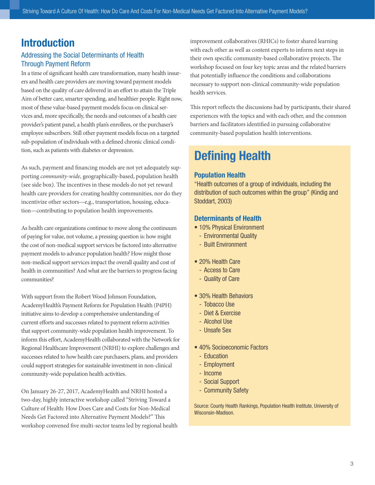## Introduction

### Addressing the Social Determinants of Health Through Payment Reform

In a time of significant health care transformation, many health insurers and health care providers are moving toward payment models based on the quality of care delivered in an effort to attain the Triple Aim of better care, smarter spending, and healthier people. Right now, most of these value-based payment models focus on clinical services and, more specifically, the needs and outcomes of a health care provider's patient panel, a health plan's enrollees, or the purchaser's employee subscribers. Still other payment models focus on a targeted sub-population of individuals with a defined chronic clinical condition, such as patients with diabetes or depression.

As such, payment and financing models are not yet adequately supporting *community-wide*, geographically-based, population health (see side box). The incentives in these models do not yet reward health care providers for creating healthy communities, nor do they incentivize other sectors—e,g., transportation, housing, education—contributing to population health improvements.

As health care organizations continue to move along the continuum of paying for value, not volume, a pressing question is: how might the cost of non-medical support services be factored into alternative payment models to advance population health? How might those non-medical support services impact the overall quality and cost of health in communities? And what are the barriers to progress facing communities?

With support from the Robert Wood Johnson Foundation, AcademyHealth's Payment Reform for Population Health (P4PH) initiative aims to develop a comprehensive understanding of current efforts and successes related to payment reform activities that support community-wide population health improvement. To inform this effort, AcademyHealth collaborated with the Network for Regional Healthcare Improvement (NRHI) to explore challenges and successes related to how health care purchasers, plans, and providers could support strategies for sustainable investment in non-clinical community-wide population health activities.

On January 26-27, 2017, AcademyHealth and NRHI hosted a two-day, highly interactive workshop called "Striving Toward a Culture of Health: How Does Care and Costs for Non-Medical Needs Get Factored into Alternative Payment Models?" This workshop convened five multi-sector teams led by regional health improvement collaboratives (RHICs) to foster shared learning with each other as well as content experts to inform next steps in their own specific community-based collaborative projects. The workshop focused on four key topic areas and the related barriers that potentially influence the conditions and collaborations necessary to support non-clinical community-wide population health services.

This report reflects the discussions had by participants, their shared experiences with the topics and with each other, and the common barriers and facilitators identified in pursuing collaborative community-based population health interventions.

## Defining Health

### Population Health

"Health outcomes of a group of individuals, including the distribution of such outcomes within the group" (Kindig and Stoddart, 2003)

### Determinants of Health

- 10% Physical Environment
	- Environmental Quality
	- Built Environment
- 20% Health Care
	- Access to Care
	- Quality of Care
- 30% Health Behaviors
	- Tobacco Use
	- Diet & Exercise
	- Alcohol Use
	- Unsafe Sex
- 40% Socioeconomic Factors
	- Education
	- Employment
	- Income
	- Social Support
	- Community Safety

Source: County Health Rankings, Population Health Institute, University of Wisconsin-Madison.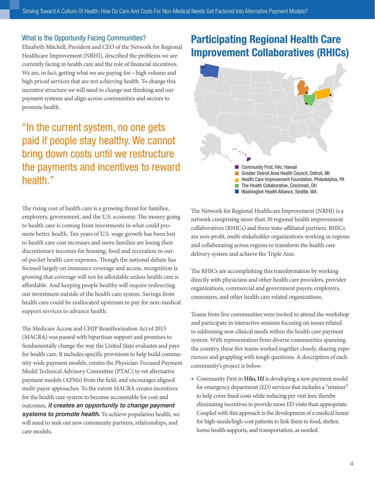#### What is the Opportunity Facing Communities?

Elizabeth Mitchell, President and CEO of the Network for Regional Healthcare Improvement (NRHI), described the problems we are currently facing in health care and the role of financial incentives. We are, in fact, getting what we are paying for—high volume and high priced services that are not achieving health. To change this incentive structure we will need to change our thinking and our payment systems and align across communities and sectors to promote health.

## "In the current system, no one gets paid if people stay healthy. We cannot bring down costs until we restructure the payments and incentives to reward health."

The rising cost of health care is a growing threat for families, employers, government, and the U.S. economy. The money going to health care is coming from investments in what could promote better health. Ten years of U.S. wage growth has been lost to health care cost increases and more families are losing their discretionary incomes for housing, food and recreation to outof-pocket health care expenses. Though the national debate has focused largely on insurance coverage and access, recognition is growing that coverage will not be affordable unless health care is affordable. And keeping people healthy will require redirecting our investment outside of the health care system. Savings from health care could be reallocated upstream to pay for non-medical support services to advance health.

The Medicare Access and CHIP Reauthorization Act of 2015 (MACRA) was passed with bipartisan support and promises to fundamentally change the way the United State evaluates and pays for health care. It includes specific provisions to help build community-wide payment models, creates the Physician-Focused Payment Model Technical Advisory Committee (PTAC) to vet alternative payment models (APMs) from the field, and encourages aligned multi-payer approaches. To the extent MACRA creates incentives for the health care system to become accountable for cost and outcomes, *it creates an opportunity to change payment systems to promote health.* To achieve population health, we will need to seek out new community partners, relationships, and care models.

## Participating Regional Health Care Improvement Collaboratives (RHICs)



The Network for Regional Healthcare Improvement (NRHI) is a network comprising more than 30 regional health improvement collaboratives (RHICs) and three state-affiliated partners. RHICs are non-profit, multi-stakeholder organizations working in regions and collaborating across regions to transform the health care delivery system and achieve the Triple Aim.

The RHICs are accomplishing this transformation by working directly with physicians and other health care providers, provider organizations, commercial and government payers, employers, consumers, and other health care related organizations.

Teams from five communities were invited to attend the workshop and participate in interactive sessions focusing on issues related to addressing non-clinical needs within the health care payment system. With representation from diverse communities spanning the country, these five teams worked together closely, sharing experiences and grappling with tough questions. A description of each community's project is below:

• Community First in **Hilo, HI** is developing a new payment model for emergency department (ED) services that includes a "retainer" to help cover fixed costs while reducing per visit fees, thereby eliminating incentives to provide more ED visits than appropriate. Coupled with this approach is the development of a medical home for high-needs/high-cost patients to link them to food, shelter, home health supports, and transportation, as needed.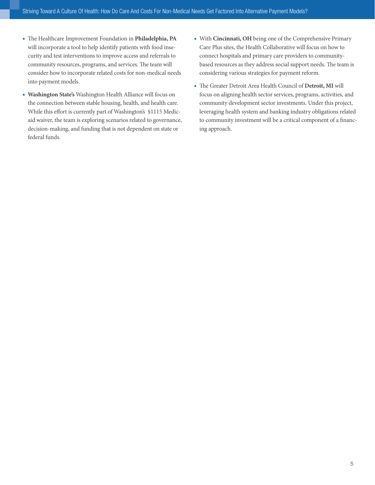- The Healthcare Improvement Foundation in **Philadelphia, PA** will incorporate a tool to help identify patients with food insecurity and test interventions to improve access and referrals to community resources, programs, and services. The team will consider how to incorporate related costs for non-medical needs into payment models.
- **Washington State's** Washington Health Alliance will focus on the connection between stable housing, health, and health care. While this effort is currently part of Washington's §1115 Medicaid waiver, the team is exploring scenarios related to governance, decision-making, and funding that is not dependent on state or federal funds.
- With **Cincinnati, OH** being one of the Comprehensive Primary Care Plus sites, the Health Collaborative will focus on how to connect hospitals and primary care providers to communitybased resources as they address social support needs. The team is considering various strategies for payment reform.
- The Greater Detroit Area Health Council of **Detroit, MI** will focus on aligning health sector services, programs, activities, and community development sector investments. Under this project, leveraging health system and banking industry obligations related to community investment will be a critical component of a financing approach.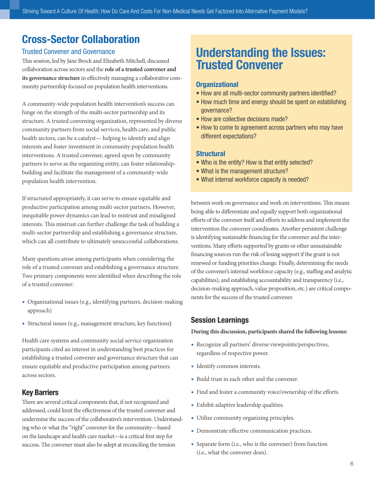## Cross-Sector Collaboration

#### Trusted Convener and Governance

This session, led by Jane Brock and Elizabeth Mitchell, discussed collaboration across sectors and the **role of a trusted convener and its governance structure** in effectively managing a collaborative community partnership focused on population health interventions.

A community-wide population health intervention's success can hinge on the strength of the multi-sector partnership and its structure. A trusted convening organization, represented by diverse community partners from social services, health care, and public health sectors, can be a catalyst— helping to identify and align interests and foster investment in community population health interventions. A trusted convener, agreed upon by community partners to serve as the organizing entity, can foster relationshipbuilding and facilitate the management of a community-wide population health intervention.

If structured appropriately, it can serve to ensure equitable and productive participation among multi-sector partners. However, inequitable power dynamics can lead to mistrust and misaligned interests. This mistrust can further challenge the task of building a multi-sector partnership and establishing a governance structure, which can all contribute to ultimately unsuccessful collaborations.

Many questions arose among participants when considering the role of a trusted convener and establishing a governance structure. Two primary components were identified when describing the role of a trusted convener:

- Organizational issues (e.g., identifying partners, decision-making approach)
- Structural issues (e.g., management structure, key functions)

Health care systems and community social service organization participants cited an interest in understanding best practices for establishing a trusted convener and governance structure that can ensure equitable and productive participation among partners across sectors.

### Key Barriers

There are several critical components that, if not recognized and addressed, could limit the effectiveness of the trusted convener and undermine the success of the collaborative's intervention. Understanding who or what the "right" convener for the community—based on the landscape and health care market—is a critical first step for success. The convener must also be adept at reconciling the tension

## Understanding the Issues: Trusted Convener

### **Organizational**

- How are all multi-sector community partners identified?
- How much time and energy should be spent on establishing governance?
- How are collective decisions made?
- How to come to agreement across partners who may have different expectations?

### **Structural**

- Who is the entity? How is that entity selected?
- What is the management structure?
- What internal workforce capacity is needed?

between work on governance and work on interventions. This means being able to differentiate and equally support both organizational efforts of the convener itself and efforts to address and implement the intervention the convener coordinates. Another persistent challenge is identifying sustainable financing for the convener and the interventions. Many efforts supported by grants or other unsustainable financing sources run the risk of losing support if the grant is not renewed or funding priorities change. Finally, determining the needs of the convener's internal workforce capacity (e.g., staffing and analytic capabilities), and establishing accountability and transparency (i.e., decision-making approach, value proposition, etc.) are critical components for the success of the trusted convener.

### Session Learnings

- Recognize all partners' diverse viewpoints/perspectives, regardless of respective power.
- Identify common interests.
- Build trust in each other and the convener.
- Find and foster a community voice/ownership of the efforts.
- Exhibit adaptive leadership qualities.
- Utilize community organizing principles.
- Demonstrate effective communication practices.
- Separate form (i.e., who is the convener) from function (i.e., what the convener does).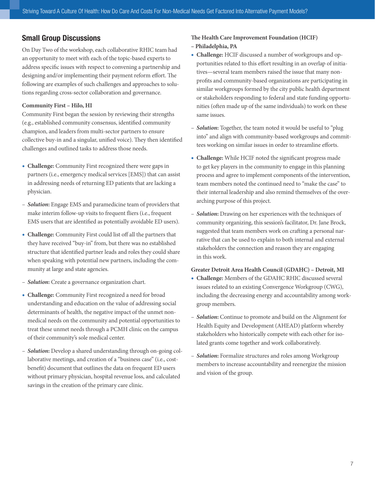On Day Two of the workshop, each collaborative RHIC team had an opportunity to meet with each of the topic-based experts to address specific issues with respect to convening a partnership and designing and/or implementing their payment reform effort. The following are examples of such challenges and approaches to solutions regarding cross-sector collaboration and governance.

#### **Community First – Hilo, HI**

Community First began the session by reviewing their strengths (e.g., established community consensus, identified community champion, and leaders from multi-sector partners to ensure collective buy-in and a singular, unified voice). They then identified challenges and outlined tasks to address those needs.

- **Challenge:** Community First recognized there were gaps in partners (i.e., emergency medical services [EMS]) that can assist in addressing needs of returning ED patients that are lacking a physician.
- *Solution***:** Engage EMS and paramedicine team of providers that make interim follow-up visits to frequent fliers (i.e., frequent EMS users that are identified as potentially avoidable ED users).
- **Challenge:** Community First could list off all the partners that they have received "buy-in" from, but there was no established structure that identified partner leads and roles they could share when speaking with potential new partners, including the community at large and state agencies.
- *Solution***:** Create a governance organization chart.
- **Challenge:** Community First recognized a need for broad understanding and education on the value of addressing social determinants of health, the negative impact of the unmet nonmedical needs on the community and potential opportunities to treat these unmet needs through a PCMH clinic on the campus of their community's sole medical center.
- *Solution***:** Develop a shared understanding through on-going collaborative meetings, and creation of a "business case" (i.e., costbenefit) document that outlines the data on frequent ED users without primary physician, hospital revenue loss, and calculated savings in the creation of the primary care clinic.

## **The Health Care Improvement Foundation (HCIF)**

### **– Philadelphia, PA**

- **Challenge:** HCIF discussed a number of workgroups and opportunities related to this effort resulting in an overlap of initiatives—several team members raised the issue that many nonprofits and community-based organizations are participating in similar workgroups formed by the city public health department or stakeholders responding to federal and state funding opportunities (often made up of the same individuals) to work on these same issues.
- *Solution***:** Together, the team noted it would be useful to "plug into" and align with community-based workgroups and committees working on similar issues in order to streamline efforts.
- **Challenge:** While HCIF noted the significant progress made to get key players in the community to engage in this planning process and agree to implement components of the intervention, team members noted the continued need to "make the case" to their internal leadership and also remind themselves of the overarching purpose of this project.
- *Solution***:** Drawing on her experiences with the techniques of community organizing, this session's facilitator, Dr. Jane Brock, suggested that team members work on crafting a personal narrative that can be used to explain to both internal and external stakeholders the connection and reason they are engaging in this work.

#### **Greater Detroit Area Health Council (GDAHC) – Detroit, MI**

- **Challenge:** Members of the GDAHC RHIC discussed several issues related to an existing Convergence Workgroup (CWG), including the decreasing energy and accountability among workgroup members.
- *Solution***:** Continue to promote and build on the Alignment for Health Equity and Development (AHEAD) platform whereby stakeholders who historically compete with each other for isolated grants come together and work collaboratively.
- *Solution***:** Formalize structures and roles among Workgroup members to increase accountability and reenergize the mission and vision of the group.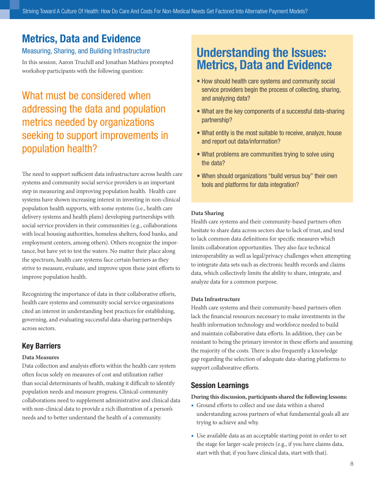## Metrics, Data and Evidence

### Measuring, Sharing, and Building Infrastructure

In this session, Aaron Truchill and Jonathan Mathieu prompted workshop participants with the following question:

## What must be considered when addressing the data and population metrics needed by organizations seeking to support improvements in population health?

The need to support sufficient data infrastructure across health care systems and community social service providers is an important step in measuring and improving population health. Health care systems have shown increasing interest in investing in non-clinical population health supports, with some systems (i.e., health care delivery systems and health plans) developing partnerships with social service providers in their communities (e.g., collaborations with local housing authorities, homeless shelters, food banks, and employment centers, among others). Others recognize the importance, but have yet to test the waters. No matter their place along the spectrum, health care systems face certain barriers as they strive to measure, evaluate, and improve upon these joint efforts to improve population health.

Recognizing the importance of data in their collaborative efforts, health care systems and community social service organizations cited an interest in understanding best practices for establishing, governing, and evaluating successful data-sharing partnerships across sectors.

### Key Barriers

#### **Data Measures**

Data collection and analysis efforts within the health care system often focus solely on measures of cost and utilization rather than social determinants of health, making it difficult to identify population needs and measure progress. Clinical-community collaborations need to supplement administrative and clinical data with non-clinical data to provide a rich illustration of a person's needs and to better understand the health of a community.

## Understanding the Issues: Metrics, Data and Evidence

- How should health care systems and community social service providers begin the process of collecting, sharing, and analyzing data?
- What are the key components of a successful data-sharing partnership?
- What entity is the most suitable to receive, analyze, house and report out data/information?
- What problems are communities trying to solve using the data?
- When should organizations "build versus buy" their own tools and platforms for data integration?

#### **Data Sharing**

Health care systems and their community-based partners often hesitate to share data across sectors due to lack of trust, and tend to lack common data definitions for specific measures which limits collaboration opportunities. They also face technical interoperability as well as legal/privacy challenges when attempting to integrate data sets such as electronic health records and claims data, which collectively limits the ability to share, integrate, and analyze data for a common purpose.

#### **Data Infrastructure**

Health care systems and their community-based partners often lack the financial resources necessary to make investments in the health information technology and workforce needed to build and maintain collaborative data efforts. In addition, they can be resistant to being the primary investor in these efforts and assuming the majority of the costs. There is also frequently a knowledge gap regarding the selection of adequate data-sharing platforms to support collaborative efforts.

### Session Learnings

- Ground efforts to collect and use data within a shared understanding across partners of what fundamental goals all are trying to achieve and why.
- Use available data as an acceptable starting point in order to set the stage for larger-scale projects (e.g., if you have claims data, start with that; if you have clinical data, start with that).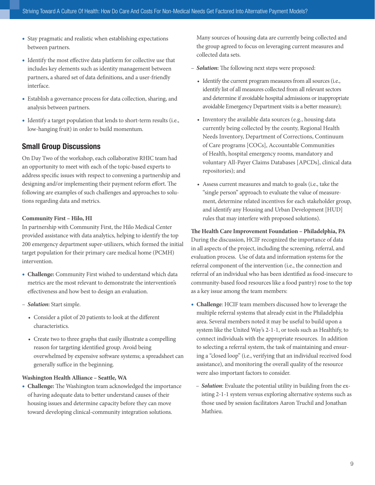- Stay pragmatic and realistic when establishing expectations between partners.
- Identify the most effective data platform for collective use that includes key elements such as identity management between partners, a shared set of data definitions, and a user-friendly interface.
- Establish a governance process for data collection, sharing, and analysis between partners.
- Identify a target population that lends to short-term results (i.e., low-hanging fruit) in order to build momentum.

On Day Two of the workshop, each collaborative RHIC team had an opportunity to meet with each of the topic-based experts to address specific issues with respect to convening a partnership and designing and/or implementing their payment reform effort. The following are examples of such challenges and approaches to solutions regarding data and metrics.

#### **Community First – Hilo, HI**

In partnership with Community First, the Hilo Medical Center provided assistance with data analytics, helping to identify the top 200 emergency department super-utilizers, which formed the initial target population for their primary care medical home (PCMH) intervention.

- **Challenge:** Community First wished to understand which data metrics are the most relevant to demonstrate the intervention's effectiveness and how best to design an evaluation.
- *Solution***:** Start simple.
	- Consider a pilot of 20 patients to look at the different characteristics.
	- Create two to three graphs that easily illustrate a compelling reason for targeting identified group. Avoid being overwhelmed by expensive software systems; a spreadsheet can generally suffice in the beginning.

#### **Washington Health Alliance – Seattle, WA**

• **Challenge:** The Washington team acknowledged the importance of having adequate data to better understand causes of their housing issues and determine capacity before they can move toward developing clinical-community integration solutions.

Many sources of housing data are currently being collected and the group agreed to focus on leveraging current measures and collected data sets.

- *Solution***:** The following next steps were proposed:
	- Identify the current program measures from all sources (i.e., identify list of all measures collected from all relevant sectors and determine if avoidable hospital admissions or inappropriate avoidable Emergency Department visits is a better measure);
	- Inventory the available data sources (e.g., housing data currently being collected by the county, Regional Health Needs Inventory, Department of Corrections, Continuum of Care programs [COCs], Accountable Communities of Health, hospital emergency rooms, mandatory and voluntary All-Payer Claims Databases [APCDs], clinical data repositories); and
	- Assess current measures and match to goals (i.e., take the "single person" approach to evaluate the value of measurement, determine related incentives for each stakeholder group, and identify any Housing and Urban Development [HUD] rules that may interfere with proposed solutions).

## **The Health Care Improvement Foundation – Philadelphia, PA**

During the discussion, HCIF recognized the importance of data in all aspects of the project, including the screening, referral, and evaluation process. Use of data and information systems for the referral component of the intervention (i.e., the connection and referral of an individual who has been identified as food-insecure to community-based food resources like a food pantry) rose to the top as a key issue among the team members:

- **Challenge**: HCIF team members discussed how to leverage the multiple referral systems that already exist in the Philadelphia area. Several members noted it may be useful to build upon a system like the United Way's 2-1-1, or tools such as Healthify, to connect individuals with the appropriate resources. In addition to selecting a referral system, the task of maintaining and ensuring a "closed loop" (i.e., verifying that an individual received food assistance), and monitoring the overall quality of the resource were also important factors to consider.
	- *Solution*: Evaluate the potential utility in building from the existing 2-1-1 system versus exploring alternative systems such as those used by session facilitators Aaron Truchil and Jonathan Mathieu.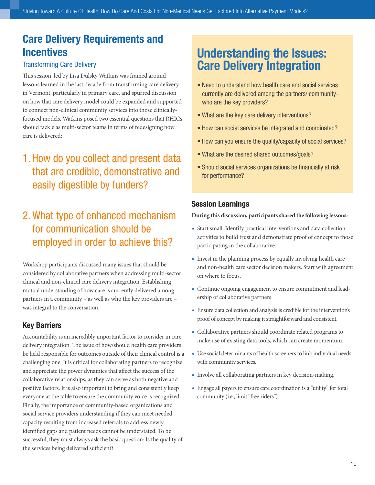## Care Delivery Requirements and **Incentives**

### Transforming Care Delivery

This session, led by Lisa Dulsky Watkins was framed around lessons learned in the last decade from transforming care delivery in Vermont, particularly in primary care, and spurred discussion on how that care delivery model could be expanded and supported to connect non-clinical community services into those clinicallyfocused models. Watkins posed two essential questions that RHICs should tackle as multi-sector teams in terms of redesigning how care is delivered:

## 1. How do you collect and present data that are credible, demonstrative and easily digestible by funders?

## 2. What type of enhanced mechanism for communication should be employed in order to achieve this?

Workshop participants discussed many issues that should be considered by collaborative partners when addressing multi-sector clinical and non-clinical care delivery integration. Establishing mutual understanding of how care is currently delivered among partners in a community – as well as who the key providers are – was integral to the conversation.

### Key Barriers

Accountability is an incredibly important factor to consider in care delivery integration. The issue of how/should health care providers be held responsible for outcomes outside of their clinical control is a challenging one. It is critical for collaborating partners to recognize and appreciate the power dynamics that affect the success of the collaborative relationships, as they can serve as both negative and positive factors. It is also important to bring and consistently keep everyone at the table to ensure the community voice is recognized. Finally, the importance of community-based organizations and social service providers understanding if they can meet needed capacity resulting from increased referrals to address newly identified gaps and patient needs cannot be understated. To be successful, they must always ask the basic question: Is the quality of the services being delivered sufficient?

## Understanding the Issues: Care Delivery Integration

- Need to understand how health care and social services currently are delivered among the partners/ community– who are the key providers?
- What are the key care delivery interventions?
- How can social services be integrated and coordinated?
- How can you ensure the quality/capacity of social services?
- What are the desired shared outcomes/goals?
- Should social services organizations be financially at risk for performance?

### Session Learnings

- Start small. Identify practical interventions and data collection activities to build trust and demonstrate proof of concept to those participating in the collaborative.
- Invest in the planning process by equally involving health care and non-health care sector decision makers. Start with agreement on where to focus.
- Continue ongoing engagement to ensure commitment and leadership of collaborative partners.
- Ensure data collection and analysis is credible for the intervention's proof of concept by making it straightforward and consistent.
- Collaborative partners should coordinate related programs to make use of existing data tools, which can create momentum.
- Use social determinants of health screeners to link individual needs with community services.
- Involve all collaborating partners in key decision-making.
- Engage all payers to ensure care coordination is a "utility" for total community (i.e., limit "free riders").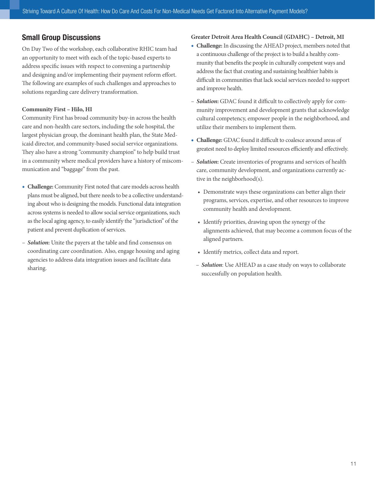On Day Two of the workshop, each collaborative RHIC team had an opportunity to meet with each of the topic-based experts to address specific issues with respect to convening a partnership and designing and/or implementing their payment reform effort. The following are examples of such challenges and approaches to solutions regarding care delivery transformation.

#### **Community First – Hilo, HI**

Community First has broad community buy-in across the health care and non-health care sectors, including the sole hospital, the largest physician group, the dominant health plan, the State Medicaid director, and community-based social service organizations. They also have a strong "community champion" to help build trust in a community where medical providers have a history of miscommunication and "baggage" from the past.

- **Challenge:** Community First noted that care models across health plans must be aligned, but there needs to be a collective understanding about who is designing the models. Functional data integration across systems is needed to allow social service organizations, such as the local aging agency, to easily identify the "jurisdiction" of the patient and prevent duplication of services.
- *Solution***:** Unite the payers at the table and find consensus on coordinating care coordination. Also, engage housing and aging agencies to address data integration issues and facilitate data sharing.

### **Greater Detroit Area Health Council (GDAHC) – Detroit, MI**

- **Challenge:** In discussing the AHEAD project, members noted that a continuous challenge of the project is to build a healthy community that benefits the people in culturally competent ways and address the fact that creating and sustaining healthier habits is difficult in communities that lack social services needed to support and improve health.
- *Solution***:** GDAC found it difficult to collectively apply for community improvement and development grants that acknowledge cultural competency, empower people in the neighborhood, and utilize their members to implement them.
- **Challenge:** GDAC found it difficult to coalesce around areas of greatest need to deploy limited resources efficiently and effectively.
- *Solution***:** Create inventories of programs and services of health care, community development, and organizations currently active in the neighborhood(s).
	- Demonstrate ways these organizations can better align their programs, services, expertise, and other resources to improve community health and development.
	- Identify priorities, drawing upon the synergy of the alignments achieved, that may become a common focus of the aligned partners.
	- Identify metrics, collect data and report.
	- *Solution*: Use AHEAD as a case study on ways to collaborate successfully on population health.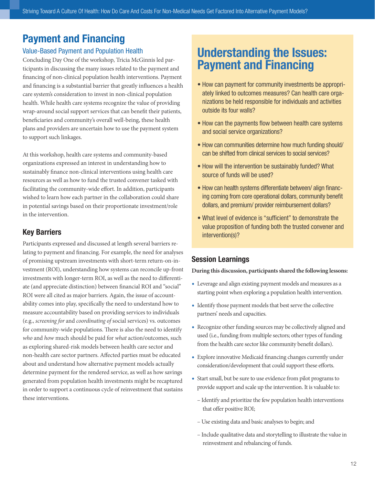## Payment and Financing

### Value-Based Payment and Population Health

Concluding Day One of the workshop, Tricia McGinnis led participants in discussing the many issues related to the payment and financing of non-clinical population health interventions. Payment and financing is a substantial barrier that greatly influences a health care system's consideration to invest in non-clinical population health. While health care systems recognize the value of providing wrap-around social support services that can benefit their patients, beneficiaries and community's overall well-being, these health plans and providers are uncertain how to use the payment system to support such linkages.

At this workshop, health care systems and community-based organizations expressed an interest in understanding how to sustainably finance non-clinical interventions using health care resources as well as how to fund the trusted convener tasked with facilitating the community-wide effort. In addition, participants wished to learn how each partner in the collaboration could share in potential savings based on their proportionate investment/role in the intervention.

### Key Barriers

Participants expressed and discussed at length several barriers relating to payment and financing. For example, the need for analyses of promising upstream investments with short-term return-on-investment (ROI), understanding how systems can reconcile up-front investments with longer-term ROI, as well as the need to differentiate (and appreciate distinction) between financial ROI and "social" ROI were all cited as major barriers. Again, the issue of accountability comes into play, specifically the need to understand how to measure accountability based on providing services to individuals (e.g., *screening for* and *coordinating of* social services) vs. outcomes for community-wide populations. There is also the need to identify *who* and *how* much should be paid for *what* action/outcomes, such as exploring shared-risk models between health care sector and non-health care sector partners. Affected parties must be educated about and understand how alternative payment models actually determine payment for the rendered service, as well as how savings generated from population health investments might be recaptured in order to support a continuous cycle of reinvestment that sustains these interventions.

## Understanding the Issues: Payment and Financing

- How can payment for community investments be appropriately linked to outcomes measures? Can health care organizations be held responsible for individuals and activities outside its four walls?
- How can the payments flow between health care systems and social service organizations?
- How can communities determine how much funding should/ can be shifted from clinical services to social services?
- How will the intervention be sustainably funded? What source of funds will be used?
- How can health systems differentiate between/ align financing coming from core operational dollars, community benefit dollars, and premium/ provider reimbursement dollars?
- What level of evidence is "sufficient" to demonstrate the value proposition of funding both the trusted convener and intervention(s)?

### Session Learnings

- Leverage and align existing payment models and measures as a starting point when exploring a population health intervention.
- Identify those payment models that best serve the collective partners' needs and capacities.
- Recognize other funding sources may be collectively aligned and used (i.e., funding from multiple sectors; other types of funding from the health care sector like community benefit dollars).
- Explore innovative Medicaid financing changes currently under consideration/development that could support these efforts.
- Start small, but be sure to use evidence from pilot programs to provide support and scale up the intervention. It is valuable to:
	- Identify and prioritize the few population health interventions that offer positive ROI;
	- Use existing data and basic analyses to begin; and
	- Include qualitative data and storytelling to illustrate the value in reinvestment and rebalancing of funds.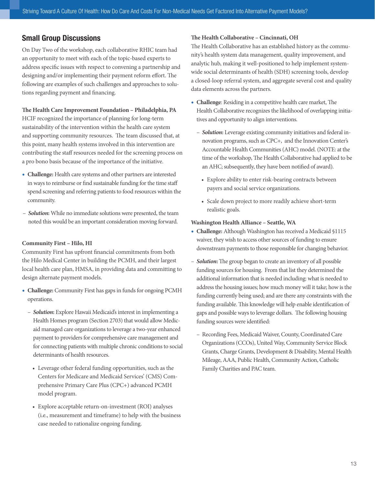On Day Two of the workshop, each collaborative RHIC team had an opportunity to meet with each of the topic-based experts to address specific issues with respect to convening a partnership and designing and/or implementing their payment reform effort. The following are examples of such challenges and approaches to solutions regarding payment and financing.

#### **The Health Care Improvement Foundation – Philadelphia, PA**

HCIF recognized the importance of planning for long-term sustainability of the intervention within the health care system and supporting community resources. The team discussed that, at this point, many health systems involved in this intervention are contributing the staff resources needed for the screening process on a pro bono basis because of the importance of the initiative.

- **Challenge:** Health care systems and other partners are interested in ways to reimburse or find sustainable funding for the time staff spend screening and referring patients to food resources within the community.
- *Solution***:** While no immediate solutions were presented, the team noted this would be an important consideration moving forward.

#### **Community First – Hilo, HI**

Community First has upfront financial commitments from both the Hilo Medical Center in building the PCMH, and their largest local health care plan, HMSA, in providing data and committing to design alternate payment models.

- **Challenge:** Community First has gaps in funds for ongoing PCMH operations.
	- *Solution***:** Explore Hawaii Medicaid's interest in implementing a Health Homes program (Section 2703) that would allow Medicaid managed care organizations to leverage a two-year enhanced payment to providers for comprehensive care management and for connecting patients with multiple chronic conditions to social determinants of health resources.
		- Leverage other federal funding opportunities, such as the Centers for Medicare and Medicaid Services' (CMS) Comprehensive Primary Care Plus (CPC+) advanced PCMH model program.
		- Explore acceptable return-on-investment (ROI) analyses (i.e., measurement and timeframe) to help with the business case needed to rationalize ongoing funding.

#### **The Health Collaborative – Cincinnati, OH**

The Health Collaborative has an established history as the community's health system data management, quality improvement, and analytic hub, making it well-positioned to help implement systemwide social determinants of health (SDH) screening tools, develop a closed-loop referral system, and aggregate several cost and quality data elements across the partners.

- **Challenge**: Residing in a competitive health care market, The Health Collaborative recognizes the likelihood of overlapping initiatives and opportunity to align interventions.
	- *Solution***:** Leverage existing community initiatives and federal innovation programs, such as CPC+, and the Innovation Center's Accountable Health Communities (AHC) model. (NOTE: at the time of the workshop, The Health Collaborative had applied to be an AHC; subsequently, they have been notified of award).
		- Explore ability to enter risk-bearing contracts between payers and social service organizations.
		- Scale down project to more readily achieve short-term realistic goals.

#### **Washington Health Alliance – Seattle, WA**

- **Challenge:** Although Washington has received a Medicaid §1115 waiver, they wish to access other sources of funding to ensure downstream payments to those responsible for changing behavior.
- *Solution***:** The group began to create an inventory of all possible funding sources for housing. From that list they determined the additional information that is needed including: what is needed to address the housing issues; how much money will it take; how is the funding currently being used; and are there any constraints with the funding available. This knowledge will help enable identification of gaps and possible ways to leverage dollars. The following housing funding sources were identified:
	- Recording Fees, Medicaid Waiver, County, Coordinated Care Organizations (CCOs), United Way, Community Service Block Grants, Charge Grants, Development & Disability, Mental Health Mileage, AAA, Public Health, Community Action, Catholic Family Charities and PAC team.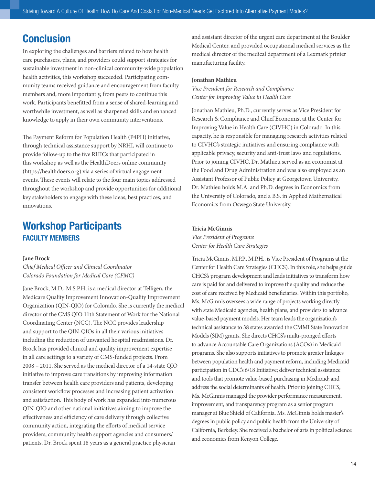## **Conclusion**

In exploring the challenges and barriers related to how health care purchasers, plans, and providers could support strategies for sustainable investment in non-clinical community-wide population health activities, this workshop succeeded. Participating community teams received guidance and encouragement from faculty members and, more importantly, from peers to continue this work. Participants benefitted from a sense of shared-learning and worthwhile investment, as well as sharpened skills and enhanced knowledge to apply in their own community interventions.

The Payment Reform for Population Health (P4PH) initiative, through technical assistance support by NRHI, will continue to provide follow-up to the five RHICs that participated in this workshop as well as the HealthDoers online community (https://healthdoers.org) via a series of virtual engagement events. These events will relate to the four main topics addressed throughout the workshop and provide opportunities for additional key stakeholders to engage with these ideas, best practices, and innovations.

## Workshop Participants FACULTY MEMBERS

#### **Jane Brock**

*Chief Medical Officer and Clinical Coordinator Colorado Foundation for Medical Care (CFMC)*

Jane Brock, M.D., M.S.P.H, is a medical director at Telligen, the Medicare Quality Improvement Innovation-Quality Improvement Organization (QIN-QIO) for Colorado. She is currently the medical director of the CMS QIO 11th Statement of Work for the National Coordinating Center (NCC). The NCC provides leadership and support to the QIN-QIOs in all their various initiatives including the reduction of unwanted hospital readmissions. Dr. Brock has provided clinical and quality improvement expertise in all care settings to a variety of CMS-funded projects. From 2008 – 2011, She served as the medical director of a 14-state QIO initiative to improve care transitions by improving information transfer between health care providers and patients, developing consistent workflow processes and increasing patient activation and satisfaction. This body of work has expanded into numerous QIN-QIO and other national initiatives aiming to improve the effectiveness and efficiency of care delivery through collective community action, integrating the efforts of medical service providers, community health support agencies and consumers/ patients. Dr. Brock spent 18 years as a general practice physician

and assistant director of the urgent care department at the Boulder Medical Center, and provided occupational medical services as the medical director of the medical department of a Lexmark printer manufacturing facility.

#### **Jonathan Mathieu**

*Vice President for Research and Compliance Center for Improving Value in Health Care*

Jonathan Mathieu, Ph.D., currently serves as Vice President for Research & Compliance and Chief Economist at the Center for Improving Value in Health Care (CIVHC) in Colorado. In this capacity, he is responsible for managing research activities related to CIVHC's strategic initiatives and ensuring compliance with applicable privacy, security and anti-trust laws and regulations. Prior to joining CIVHC, Dr. Mathieu served as an economist at the Food and Drug Administration and was also employed as an Assistant Professor of Public Policy at Georgetown University. Dr. Mathieu holds M.A. and Ph.D. degrees in Economics from the University of Colorado, and a B.S. in Applied Mathematical Economics from Oswego State University.

#### **Tricia McGinnis**

*Vice President of Programs Center for Health Care Strategies*

Tricia McGinnis, M.P.P., M.P.H., is Vice President of Programs at the Center for Health Care Strategies (CHCS). In this role, she helps guide CHCS's program development and leads initiatives to transform how care is paid for and delivered to improve the quality and reduce the cost of care received by Medicaid beneficiaries. Within this portfolio, Ms. McGinnis oversees a wide range of projects working directly with state Medicaid agencies, health plans, and providers to advance value-based payment models. Her team leads the organization's technical assistance to 38 states awarded the CMMI State Innovation Models (SIM) grants. She directs CHCS's multi-pronged efforts to advance Accountable Care Organizations (ACOs) in Medicaid programs. She also supports initiatives to promote greater linkages between population health and payment reform, including Medicaid participation in CDC's 6/18 Initiative; deliver technical assistance and tools that promote value-based purchasing in Medicaid; and address the social determinants of health. Prior to joining CHCS, Ms. McGinnis managed the provider performance measurement, improvement, and transparency program as a senior program manager at Blue Shield of California. Ms. McGinnis holds master's degrees in public policy and public health from the University of California, Berkeley. She received a bachelor of arts in political science and economics from Kenyon College.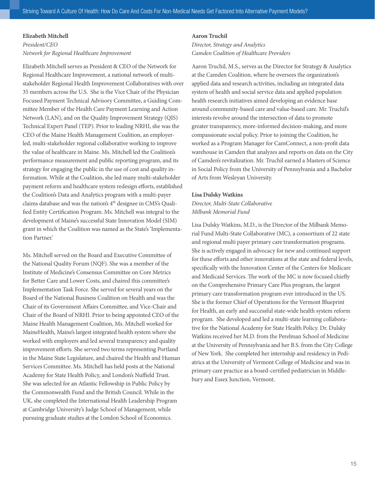#### **Elizabeth Mitchell**

### *President/CEO Network for Regional Healthcare Improvement*

Elizabeth Mitchell serves as President & CEO of the Network for Regional Healthcare Improvement, a national network of multistakeholder Regional Health Improvement Collaboratives with over 35 members across the U.S. She is the Vice Chair of the Physician Focused Payment Technical Advisory Committee, a Guiding Committee Member of the Health Care Payment Learning and Action Network (LAN), and on the Quality Improvement Strategy (QIS) Technical Expert Panel (TEP). Prior to leading NRHI, she was the CEO of the Maine Health Management Coalition, an employerled, multi-stakeholder regional collaborative working to improve the value of healthcare in Maine. Ms. Mitchell led the Coalition's performance measurement and public reporting program, and its strategy for engaging the public in the use of cost and quality information. While at the Coalition, she led many multi-stakeholder payment reform and healthcare system redesign efforts, established the Coalition's Data and Analytics program with a multi-payer claims database and was the nation's 4<sup>th</sup> designee in CMS's Qualified Entity Certification Program. Ms. Mitchell was integral to the development of Maine's successful State Innovation Model (SIM) grant in which the Coalition was named as the State's 'Implementation Partner.'

Ms. Mitchell served on the Board and Executive Committee of the National Quality Forum (NQF). She was a member of the Institute of Medicine's Consensus Committee on Core Metrics for Better Care and Lower Costs, and chaired this committee's Implementation Task Force. She served for several years on the Board of the National Business Coalition on Health and was the Chair of its Government Affairs Committee, and Vice-Chair and Chair of the Board of NRHI. Prior to being appointed CEO of the Maine Health Management Coalition, Ms. Mitchell worked for MaineHealth, Maine's largest integrated health system where she worked with employers and led several transparency and quality improvement efforts. She served two terms representing Portland in the Maine State Legislature, and chaired the Health and Human Services Committee. Ms. Mitchell has held posts at the National Academy for State Health Policy, and London's Nuffield Trust. She was selected for an Atlantic Fellowship in Public Policy by the Commonwealth Fund and the British Council. While in the UK, she completed the International Health Leadership Program at Cambridge University's Judge School of Management, while pursuing graduate studies at the London School of Economics.

#### **Aaron Truchil**

*Director, Strategy and Analytics Camden Coalition of Healthcare Providers*

Aaron Truchil, M.S., serves as the Director for Strategy & Analytics at the Camden Coalition, where he oversees the organization's applied data and research activities, including an integrated data system of health and social service data and applied population health research initiatives aimed developing an evidence base around community-based care and value-based care. Mr. Truchil's interests revolve around the intersection of data to promote greater transparency, more-informed decision-making, and more compassionate social policy. Prior to joining the Coalition, he worked as a Program Manager for CamConnect, a non-profit data warehouse in Camden that analyzes and reports on data on the City of Camden's revitalization. Mr. Truchil earned a Masters of Science in Social Policy from the University of Pennsylvania and a Bachelor of Arts from Wesleyan University.

#### **Lisa Dulsky Watkins**

*Director, Multi-State Collaborative Milbank Memorial Fund*

Lisa Dulsky Watkins, M.D., is the Director of the Milbank Memorial Fund Multi-State Collaborative (MC), a consortium of 22 state and regional multi payer primary care transformation programs. She is actively engaged in advocacy for new and continued support for these efforts and other innovations at the state and federal levels, specifically with the Innovation Center of the Centers for Medicare and Medicaid Services. The work of the MC is now focused chiefly on the Comprehensive Primary Care Plus program, the largest primary care transformation program ever introduced in the US. She is the former Chief of Operations for the Vermont Blueprint for Health, an early and successful state-wide health system reform program. She developed and led a multi-state learning collaborative for the National Academy for State Health Policy. Dr. Dulsky Watkins received her M.D. from the Perelman School of Medicine at the University of Pennsylvania and her B.S. from the City College of New York. She completed her internship and residency in Pediatrics at the University of Vermont College of Medicine and was in primary care practice as a board-certified pediatrician in Middlebury and Essex Junction, Vermont.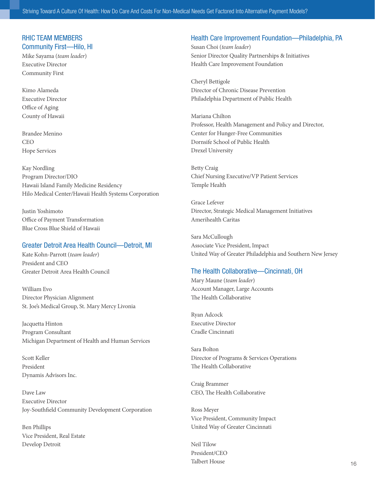### RHIC TEAM MEMBERS Community First—Hilo, HI

Mike Sayama (*team leader*) Executive Director Community First

Kimo Alameda Executive Director Office of Aging County of Hawaii

Brandee Menino CEO Hope Services

Kay Nordling Program Director/DIO Hawaii Island Family Medicine Residency Hilo Medical Center/Hawaii Health Systems Corporation

Justin Yoshimoto Office of Payment Transformation Blue Cross Blue Shield of Hawaii

### Greater Detroit Area Health Council—Detroit, MI

Kate Kohn-Parrott (*team leader*) President and CEO Greater Detroit Area Health Council

William Evo Director Physician Alignment St. Joe's Medical Group, St. Mary Mercy Livonia

Jacquetta Hinton Program Consultant Michigan Department of Health and Human Services

Scott Keller President Dynamis Advisors Inc.

Dave Law Executive Director Joy-Southfield Community Development Corporation

Ben Phillips Vice President, Real Estate Develop Detroit

### Health Care Improvement Foundation—Philadelphia, PA

Susan Choi (*team leader*) Senior Director Quality Partnerships & Initiatives Health Care Improvement Foundation

Cheryl Bettigole Director of Chronic Disease Prevention Philadelphia Department of Public Health

Mariana Chilton Professor, Health Management and Policy and Director, Center for Hunger-Free Communities Dornsife School of Public Health Drexel University

Betty Craig Chief Nursing Executive/VP Patient Services Temple Health

Grace Lefever Director, Strategic Medical Management Initiatives Amerihealth Caritas

Sara McCullough Associate Vice President, Impact United Way of Greater Philadelphia and Southern New Jersey

### The Health Collaborative—Cincinnati, OH

Mary Maune (*team leader*) Account Manager, Large Accounts The Health Collaborative

Ryan Adcock Executive Director Cradle Cincinnati

Sara Bolton Director of Programs & Services Operations The Health Collaborative

Craig Brammer CEO, The Health Collaborative

Ross Meyer Vice President, Community Impact United Way of Greater Cincinnati

Neil Tilow President/CEO Talbert House